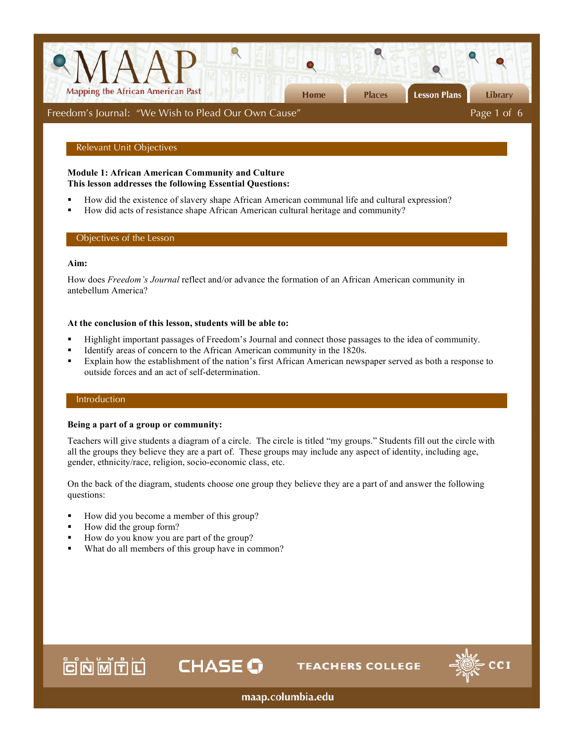

# Relevant Unit Objectives

## **Module 1: African American Community and Culture This lesson addresses the following Essential Questions:**

- How did the existence of slavery shape African American communal life and cultural expression?
- How did acts of resistance shape African American cultural heritage and community?

# Objectives of the Lesson

# **Aim:**

How does *Freedom's Journal* reflect and/or advance the formation of an African American community in antebellum America?

## **At the conclusion of this lesson, students will be able to:**

- Highlight important passages of Freedom's Journal and connect those passages to the idea of community.
- Identify areas of concern to the African American community in the 1820s.

**CHASE O** 

 Explain how the establishment of the nation's first African American newspaper served as both a response to outside forces and an act of self-determination.

# Introduction

## **Being a part of a group or community:**

Teachers will give students a diagram of a circle. The circle is titled "my groups." Students fill out the circle with all the groups they believe they are a part of. These groups may include any aspect of identity, including age, gender, ethnicity/race, religion, socio-economic class, etc.

On the back of the diagram, students choose one group they believe they are a part of and answer the following questions:

- How did you become a member of this group?
- How did the group form?

首向问面

- How do you know you are part of the group?
- What do all members of this group have in common?



maap.columbia.edu

**TEACHERS COLLEGE**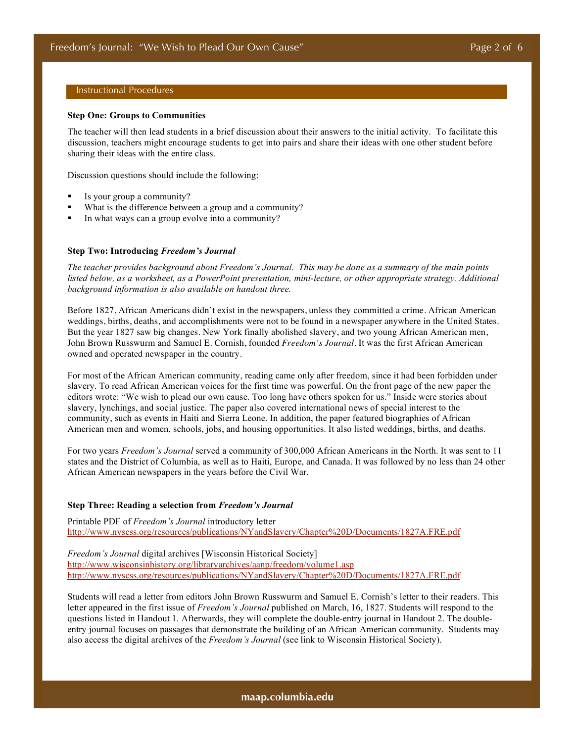# Instructional Procedures

#### **Step One: Groups to Communities**

The teacher will then lead students in a brief discussion about their answers to the initial activity. To facilitate this discussion, teachers might encourage students to get into pairs and share their ideas with one other student before sharing their ideas with the entire class.

Discussion questions should include the following:

- Is your group a community?
- What is the difference between a group and a community?
- In what ways can a group evolve into a community?

### **Step Two: Introducing** *Freedom's Journal*

*The teacher provides background about Freedom's Journal. This may be done as a summary of the main points listed below, as a worksheet, as a PowerPoint presentation, mini-lecture, or other appropriate strategy. Additional background information is also available on handout three.*

Before 1827, African Americans didn't exist in the newspapers, unless they committed a crime. African American weddings, births, deaths, and accomplishments were not to be found in a newspaper anywhere in the United States. But the year 1827 saw big changes. New York finally abolished slavery, and two young African American men, John Brown Russwurm and Samuel E. Cornish, founded *Freedom's Journal*. It was the first African American owned and operated newspaper in the country.

For most of the African American community, reading came only after freedom, since it had been forbidden under slavery. To read African American voices for the first time was powerful. On the front page of the new paper the editors wrote: "We wish to plead our own cause. Too long have others spoken for us." Inside were stories about slavery, lynchings, and social justice. The paper also covered international news of special interest to the community, such as events in Haiti and Sierra Leone. In addition, the paper featured biographies of African American men and women, schools, jobs, and housing opportunities. It also listed weddings, births, and deaths.

For two years *Freedom's Journal* served a community of 300,000 African Americans in the North. It was sent to 11 states and the District of Columbia, as well as to Haiti, Europe, and Canada. It was followed by no less than 24 other African American newspapers in the years before the Civil War.

## **Step Three: Reading a selection from** *Freedom's Journal*

Printable PDF of *Freedom's Journal* introductory letter http://www.nyscss.org/resources/publications/NYandSlavery/Chapter%20D/Documents/1827A.FRE.pdf

*Freedom's Journal* digital archives [Wisconsin Historical Society] http://www.wisconsinhistory.org/libraryarchives/aanp/freedom/volume1.asp http://www.nyscss.org/resources/publications/NYandSlavery/Chapter%20D/Documents/1827A.FRE.pdf

Students will read a letter from editors John Brown Russwurm and Samuel E. Cornish's letter to their readers. This letter appeared in the first issue of *Freedom's Journal* published on March, 16, 1827. Students will respond to the questions listed in Handout 1. Afterwards, they will complete the double-entry journal in Handout 2. The doubleentry journal focuses on passages that demonstrate the building of an African American community. Students may also access the digital archives of the *Freedom's Journal* (see link to Wisconsin Historical Society).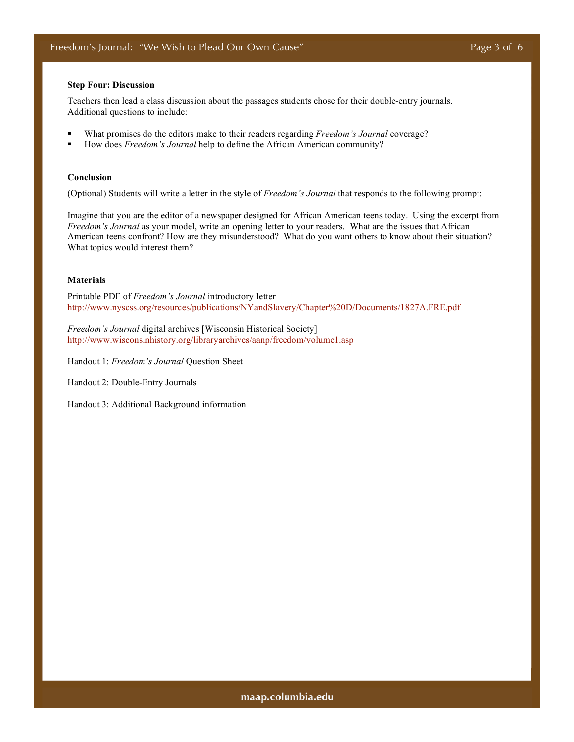### **Step Four: Discussion**

Teachers then lead a class discussion about the passages students chose for their double-entry journals. Additional questions to include:

- What promises do the editors make to their readers regarding *Freedom's Journal* coverage?
- How does *Freedom's Journal* help to define the African American community?

#### **Conclusion**

(Optional) Students will write a letter in the style of *Freedom's Journal* that responds to the following prompt:

Imagine that you are the editor of a newspaper designed for African American teens today. Using the excerpt from *Freedom's Journal* as your model, write an opening letter to your readers. What are the issues that African American teens confront? How are they misunderstood? What do you want others to know about their situation? What topics would interest them?

# **Materials**

Printable PDF of *Freedom's Journal* introductory letter http://www.nyscss.org/resources/publications/NYandSlavery/Chapter%20D/Documents/1827A.FRE.pdf

*Freedom's Journal* digital archives [Wisconsin Historical Society] http://www.wisconsinhistory.org/libraryarchives/aanp/freedom/volume1.asp

Handout 1: *Freedom's Journal* Question Sheet

Handout 2: Double-Entry Journals

Handout 3: Additional Background information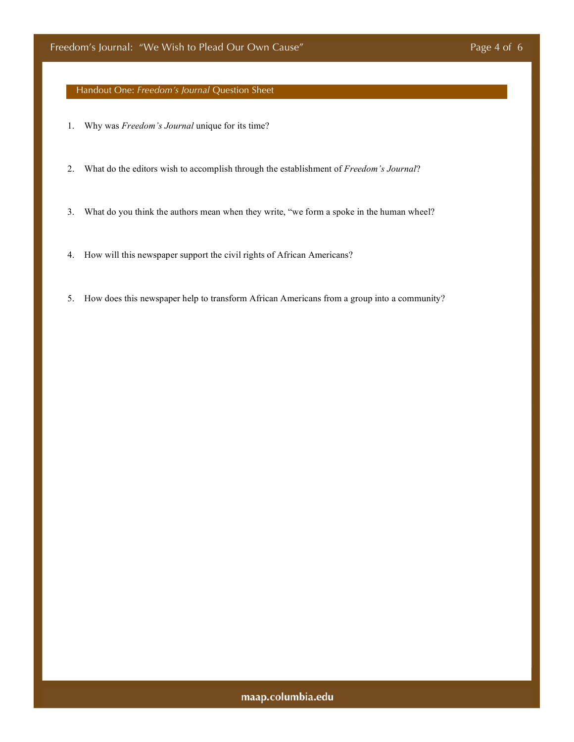Handout One: *Freedom's Journal* Question Sheet

- 1. Why was *Freedom's Journal* unique for its time?
- 2. What do the editors wish to accomplish through the establishment of *Freedom's Journal*?
- 3. What do you think the authors mean when they write, "we form a spoke in the human wheel?
- 4. How will this newspaper support the civil rights of African Americans?
- 5. How does this newspaper help to transform African Americans from a group into a community?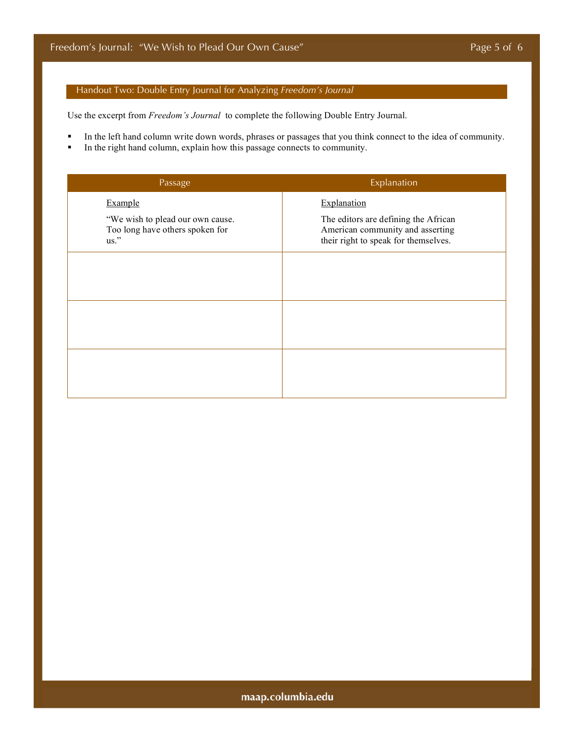# Handout Two: Double Entry Journal for Analyzing *Freedom's Journal*

Use the excerpt from *Freedom's Journal* to complete the following Double Entry Journal.

- In the left hand column write down words, phrases or passages that you think connect to the idea of community.
- In the right hand column, explain how this passage connects to community.

| Passage                                                                     | Explanation                                                                                                      |
|-----------------------------------------------------------------------------|------------------------------------------------------------------------------------------------------------------|
| Example                                                                     | Explanation                                                                                                      |
| "We wish to plead our own cause.<br>Too long have others spoken for<br>us." | The editors are defining the African<br>American community and asserting<br>their right to speak for themselves. |
|                                                                             |                                                                                                                  |
|                                                                             |                                                                                                                  |
|                                                                             |                                                                                                                  |
|                                                                             |                                                                                                                  |
|                                                                             |                                                                                                                  |
|                                                                             |                                                                                                                  |

maap.columbia.edu